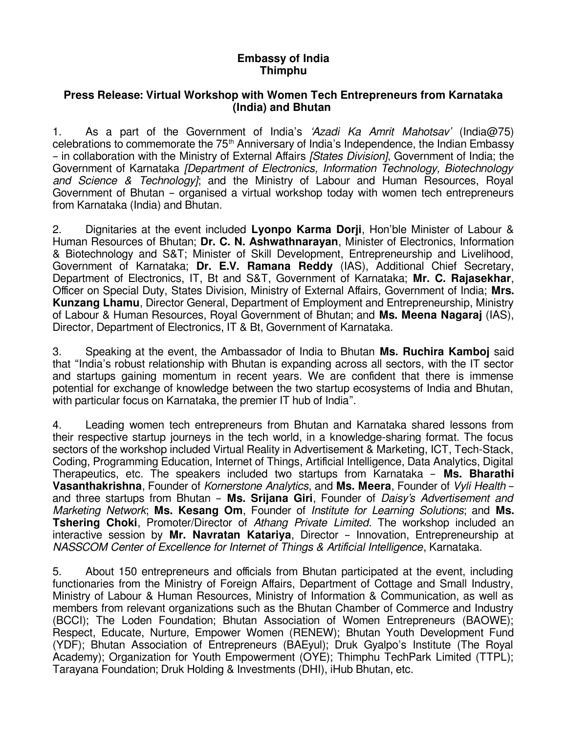## **Embassy of India Thimphu**

## **Press Release: Virtual Workshop with Women Tech Entrepreneurs from Karnataka (India) and Bhutan**

1. As a part of the Government of India's 'Azadi Ka Amrit Mahotsav' (India@75) celebrations to commemorate the 75<sup>th</sup> Anniversary of India's Independence, the Indian Embassy – in collaboration with the Ministry of External Affairs [States Division], Government of India; the Government of Karnataka [Department of Electronics, Information Technology, Biotechnology and Science & Technology]; and the Ministry of Labour and Human Resources, Royal Government of Bhutan – organised a virtual workshop today with women tech entrepreneurs from Karnataka (India) and Bhutan.

2. Dignitaries at the event included **Lyonpo Karma Dorji**, Hon'ble Minister of Labour & Human Resources of Bhutan; **Dr. C. N. Ashwathnarayan**, Minister of Electronics, Information & Biotechnology and S&T; Minister of Skill Development, Entrepreneurship and Livelihood, Government of Karnataka; **Dr. E.V. Ramana Reddy** (IAS), Additional Chief Secretary, Department of Electronics, IT, Bt and S&T, Government of Karnataka; **Mr. C. Rajasekhar**, Officer on Special Duty, States Division, Ministry of External Affairs, Government of India; **Mrs. Kunzang Lhamu**, Director General, Department of Employment and Entrepreneurship, Ministry of Labour & Human Resources, Royal Government of Bhutan; and **Ms. Meena Nagaraj** (IAS), Director, Department of Electronics, IT & Bt, Government of Karnataka.

3. Speaking at the event, the Ambassador of India to Bhutan **Ms. Ruchira Kamboj** said that "India's robust relationship with Bhutan is expanding across all sectors, with the IT sector and startups gaining momentum in recent years. We are confident that there is immense potential for exchange of knowledge between the two startup ecosystems of India and Bhutan, with particular focus on Karnataka, the premier IT hub of India".

4. Leading women tech entrepreneurs from Bhutan and Karnataka shared lessons from their respective startup journeys in the tech world, in a knowledge-sharing format. The focus sectors of the workshop included Virtual Reality in Advertisement & Marketing, ICT, Tech-Stack, Coding, Programming Education, Internet of Things, Artificial Intelligence, Data Analytics, Digital Therapeutics, etc. The speakers included two startups from Karnataka – **Ms. Bharathi Vasanthakrishna**, Founder of Kornerstone Analytics, and **Ms. Meera**, Founder of Vyli Health – and three startups from Bhutan – **Ms. Srijana Giri**, Founder of Daisy's Advertisement and Marketing Network; **Ms. Kesang Om**, Founder of Institute for Learning Solutions; and **Ms. Tshering Choki**, Promoter/Director of Athang Private Limited. The workshop included an interactive session by **Mr. Navratan Katariya**, Director – Innovation, Entrepreneurship at NASSCOM Center of Excellence for Internet of Things & Artificial Intelligence, Karnataka.

5. About 150 entrepreneurs and officials from Bhutan participated at the event, including functionaries from the Ministry of Foreign Affairs, Department of Cottage and Small Industry, Ministry of Labour & Human Resources, Ministry of Information & Communication, as well as members from relevant organizations such as the Bhutan Chamber of Commerce and Industry (BCCI); The Loden Foundation; Bhutan Association of Women Entrepreneurs (BAOWE); Respect, Educate, Nurture, Empower Women (RENEW); Bhutan Youth Development Fund (YDF); Bhutan Association of Entrepreneurs (BAEyul); Druk Gyalpo's Institute (The Royal Academy); Organization for Youth Empowerment (OYE); Thimphu TechPark Limited (TTPL); Tarayana Foundation; Druk Holding & Investments (DHI), iHub Bhutan, etc.